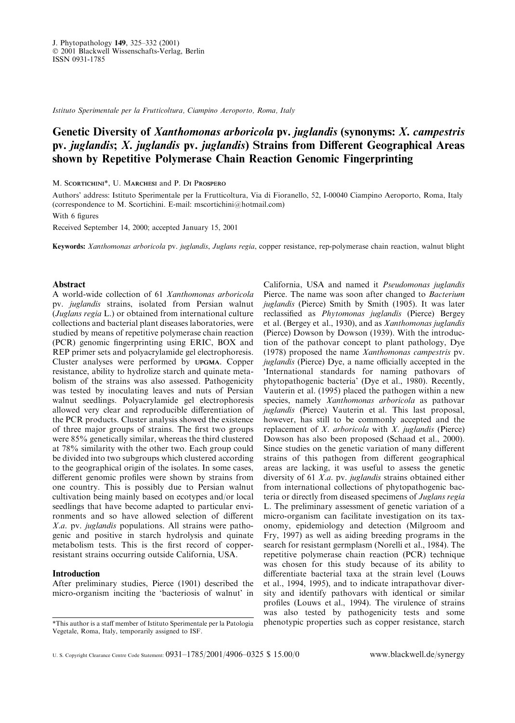Istituto Sperimentale per la Frutticoltura, Ciampino Aeroporto, Roma, Italy

# Genetic Diversity of Xanthomonas arboricola pv. juglandis (synonyms: X. campestris pv. juglandis;  $X$ . juglandis pv. juglandis) Strains from Different Geographical Areas shown by Repetitive Polymerase Chain Reaction Genomic Fingerprinting

M. SCORTICHINI\*, U. MARCHESI and P. DI PROSPERO

Authors' address: Istituto Sperimentale per la Frutticoltura, Via di Fioranello, 52, I-00040 Ciampino Aeroporto, Roma, Italy (correspondence to M. Scortichini. E-mail: mscortichini@hotmail.com)

With 6 figures

Received September 14, 2000; accepted January 15, 2001

Keywords: Xanthomonas arboricola pv. juglandis, Juglans regia, copper resistance, rep-polymerase chain reaction, walnut blight

# Abstract

A world-wide collection of 61 Xanthomonas arboricola pv. juglandis strains, isolated from Persian walnut (Juglans regia L.) or obtained from international culture collections and bacterial plant diseases laboratories, were studied by means of repetitive polymerase chain reaction (PCR) genomic fingerprinting using ERIC, BOX and REP primer sets and polyacrylamide gel electrophoresis. Cluster analyses were performed by UPGMA. Copper resistance, ability to hydrolize starch and quinate metabolism of the strains was also assessed. Pathogenicity was tested by inoculating leaves and nuts of Persian walnut seedlings. Polyacrylamide gel electrophoresis allowed very clear and reproducible differentiation of the PCR products. Cluster analysis showed the existence of three major groups of strains. The first two groups were 85% genetically similar, whereas the third clustered at 78% similarity with the other two. Each group could be divided into two subgroups which clustered according to the geographical origin of the isolates. In some cases, different genomic profiles were shown by strains from one country. This is possibly due to Persian walnut cultivation being mainly based on ecotypes and/or local seedlings that have become adapted to particular environments and so have allowed selection of different X.a. pv. juglandis populations. All strains were pathogenic and positive in starch hydrolysis and quinate metabolism tests. This is the first record of copperresistant strains occurring outside California, USA.

# Introduction

After preliminary studies, Pierce (1901) described the micro-organism inciting the `bacteriosis of walnut' in

California, USA and named it Pseudomonas juglandis Pierce. The name was soon after changed to Bacterium juglandis (Pierce) Smith by Smith (1905). It was later reclassified as Phytomonas juglandis (Pierce) Bergey et al. (Bergey et al., 1930), and as Xanthomonas juglandis (Pierce) Dowson by Dowson (1939). With the introduction of the pathovar concept to plant pathology, Dye (1978) proposed the name Xanthomonas campestris pv. juglandis (Pierce) Dye, a name officially accepted in the `International standards for naming pathovars of phytopathogenic bacteria' (Dye et al., 1980). Recently, Vauterin et al. (1995) placed the pathogen within a new species, namely Xanthomonas arboricola as pathovar juglandis (Pierce) Vauterin et al. This last proposal, however, has still to be commonly accepted and the replacement of  $X$ . arboricola with  $X$ . juglandis (Pierce) Dowson has also been proposed (Schaad et al., 2000). Since studies on the genetic variation of many different strains of this pathogen from different geographical areas are lacking, it was useful to assess the genetic diversity of 61 X.a. pv. juglandis strains obtained either from international collections of phytopathogenic bacteria or directly from diseased specimens of Juglans regia L. The preliminary assessment of genetic variation of a micro-organism can facilitate investigation on its taxonomy, epidemiology and detection (Milgroom and Fry, 1997) as well as aiding breeding programs in the search for resistant germplasm (Norelli et al., 1984). The repetitive polymerase chain reaction (PCR) technique was chosen for this study because of its ability to differentiate bacterial taxa at the strain level (Louws et al., 1994, 1995), and to indicate intrapathovar diversity and identify pathovars with identical or similar profiles (Louws et al., 1994). The virulence of strains was also tested by pathogenicity tests and some \*This author is a staff member of Istituto Sperimentale per la Patologia phenotypic properties such as copper resistance, starch

Vegetale, Roma, Italy, temporarily assigned to ISF.

U. S. Copyright Clearance Centre Code Statement:  $0931-1785/2001/4906-0325 \text{ $15.00/0}$  www.blackwell.de/synergy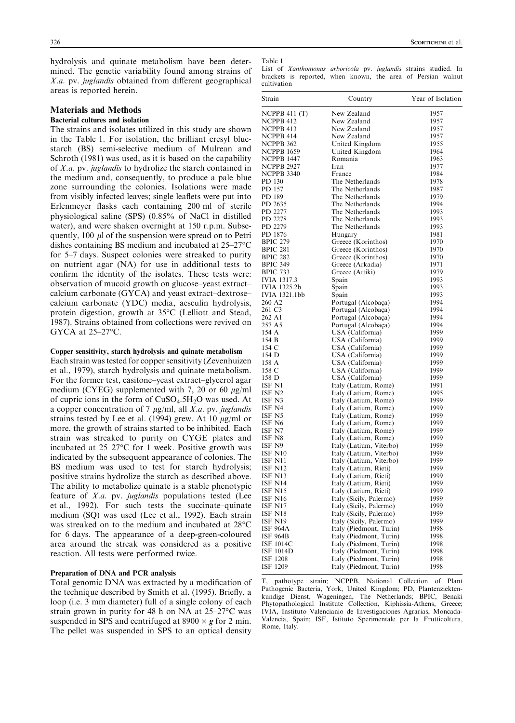hydrolysis and quinate metabolism have been determined. The genetic variability found among strains of  $X.a.$  pv. *juglandis* obtained from different geographical areas is reported herein.

# Materials and Methods

# Bacterial cultures and isolation

The strains and isolates utilized in this study are shown in the Table 1. For isolation, the brilliant cresyl bluestarch (BS) semi-selective medium of Mulrean and Schroth (1981) was used, as it is based on the capability of X.a. pv. juglandis to hydrolize the starch contained in the medium and, consequently, to produce a pale blue zone surrounding the colonies. Isolations were made from visibly infected leaves; single leaflets were put into Erlenmeyer flasks each containing 200 ml of sterile physiological saline (SPS) (0.85% of NaCl in distilled water), and were shaken overnight at 150 r.p.m. Subsequently,  $100 \mu l$  of the suspension were spread on to Petri dishes containing BS medium and incubated at  $25-27$ °C for 5–7 days. Suspect colonies were streaked to purity on nutrient agar (NA) for use in additional tests to confirm the identity of the isolates. These tests were: observation of mucoid growth on glucose-yeast extractcalcium carbonate (GYCA) and yeast extract-dextrosecalcium carbonate (YDC) media, aesculin hydrolysis, protein digestion, growth at 35°C (Lelliott and Stead, 1987). Strains obtained from collections were revived on GYCA at  $25-27$ °C.

# Copper sensitivity, starch hydrolysis and quinate metabolism

Each strain was tested for copper sensitivity (Zevenhuizen et al., 1979), starch hydrolysis and quinate metabolism. For the former test, casitone-yeast extract-glycerol agar medium (CYEG) supplemented with 7, 20 or 60  $\mu$ g/ml of cupric ions in the form of  $CuSO<sub>4</sub>$ .5H<sub>2</sub>O was used. At a copper concentration of 7  $\mu$ g/ml, all *X.a.* pv. *juglandis* strains tested by Lee et al. (1994) grew. At 10  $\mu$ g/ml or more, the growth of strains started to be inhibited. Each strain was streaked to purity on CYGE plates and incubated at  $25-27$ °C for 1 week. Positive growth was indicated by the subsequent appearance of colonies. The BS medium was used to test for starch hydrolysis; positive strains hydrolize the starch as described above. The ability to metabolize quinate is a stable phenotypic feature of X.a. pv. juglandis populations tested (Lee et al., 1992). For such tests the succinate-quinate medium (SQ) was used (Lee et al., 1992). Each strain was streaked on to the medium and incubated at 28°C for 6 days. The appearance of a deep-green-coloured area around the streak was considered as a positive reaction. All tests were performed twice.

### Preparation of DNA and PCR analysis

Total genomic DNA was extracted by a modification of the technique described by Smith et al. (1995). Briefly, a loop (i.e. 3 mm diameter) full of a single colony of each strain grown in purity for 48 h on NA at  $25-27$ °C was suspended in SPS and centrifuged at  $8900 \times g$  for 2 min. The pellet was suspended in SPS to an optical density

Table 1

List of Xanthomonas arboricola pv. juglandis strains studied. In brackets is reported, when known, the area of Persian walnut cultivation

| Strain            | Country                 | Year of Isolation |
|-------------------|-------------------------|-------------------|
| NCPPB 411 $(T)$   | New Zealand             | 1957              |
| NCPPB 412         | New Zealand             | 1957              |
| NCPPB 413         | New Zealand             | 1957              |
| NCPPB 414         | New Zealand             | 1957              |
| NCPPB 362         | United Kingdom          | 1955              |
| <b>NCPPB 1659</b> | United Kingdom          | 1964              |
| NCPPB 1447        | Romania                 | 1963              |
| NCPPB 2927        | Iran                    | 1977              |
| <b>NCPPB 3340</b> | France                  | 1984              |
| PD 130            | The Netherlands         | 1978              |
| PD 157            | The Netherlands         | 1987              |
| PD 189            | The Netherlands         | 1979              |
| PD 2635           | The Netherlands         | 1994              |
| PD 2277           | The Netherlands         | 1993              |
| PD 2278           | The Netherlands         | 1993              |
| PD 2279           | The Netherlands         | 1993              |
| PD 1876           | Hungary                 | 1981              |
| <b>BPIC 279</b>   | Greece (Korinthos)      | 1970              |
| <b>BPIC 281</b>   | Greece (Korinthos)      | 1970              |
| <b>BPIC 282</b>   | Greece (Korinthos)      | 1970              |
| <b>BPIC 349</b>   | Greece (Arkadia)        | 1971              |
| <b>BPIC 733</b>   | Greece (Attiki)         | 1979              |
| IVIA 1317.3       | Spain                   | 1993              |
| IVIA 1325.2b      | Spain                   | 1993              |
| IVIA 1321.1bb     | Spain                   | 1993              |
| 260 A2            | Portugal (Alcobaça)     | 1994              |
| 261 C3            | Portugal (Alcobaça)     | 1994              |
| 262 A1            | Portugal (Alcobaça)     | 1994              |
| 257 A5            | Portugal (Alcobaça)     | 1994              |
| 154 A             | USA (California)        | 1999              |
| 154 B             | USA (California)        | 1999              |
| 154 C             | USA (California)        | 1999              |
| 154 D             | USA (California)        | 1999              |
| 158 A             | USA (California)        | 1999              |
| 158 C             | USA (California)        | 1999              |
| 158 D             | USA (California)        | 1999              |
| ISF N1            | Italy (Latium, Rome)    | 1991              |
| ISF N2            | Italy (Latium, Rome)    | 1995              |
| ISF N3            | Italy (Latium, Rome)    | 1999              |
| ISF N4            | Italy (Latium, Rome)    | 1999              |
| ISF N5            | Italy (Latium, Rome)    | 1999              |
| ISF N6            | Italy (Latium, Rome)    | 1999              |
| ISF N7            | Italy (Latium, Rome)    | 1999              |
| ISF N8            | Italy (Latium, Rome)    | 1999              |
| ISF N9            | Italy (Latium, Viterbo) | 1999              |
| ISF N10           | Italy (Latium, Viterbo) | 1999              |
| ISF N11           | Italy (Latium, Viterbo) | 1999              |
| ISF N12           | Italy (Latium, Rieti)   | 1999              |
| ISF N13           | Italy (Latium, Rieti)   | 1999              |
| ISF N14           | Italy (Latium, Rieti)   | 1999              |
| ISF N15           | Italy (Latium, Rieti)   | 1999              |
| ISF N16           | Italy (Sicily, Palermo) | 1999              |
| ISF N17           | Italy (Sicily, Palermo) | 1999              |
| ISF N18           | Italy (Sicily, Palermo) | 1999              |
| ISF N19           | Italy (Sicily, Palermo) | 1999              |
| <b>ISF 964A</b>   | Italy (Piedmont, Turin) | 1998              |
| ISF 964B          | Italy (Piedmont, Turin) | 1998              |
| ISF 1014C         | Italy (Piedmont, Turin) | 1998              |
| ISF 1014D         | Italy (Piedmont, Turin) | 1998              |
| ISF 1208          | Italy (Piedmont, Turin) | 1998              |
| ISF 1209          | Italy (Piedmont, Turin) | 1998              |

T, pathotype strain; NCPPB, National Collection of Plant Pathogenic Bacteria, York, United Kingdom; PD, Plantenziektenkundige Dienst, Wageningen, The Netherlands; BPIC, Benaki Phytopathological Institute Collection, Kiphissia-Athens, Greece; IVIA, Instituto Valencianio de Investigaciones Agrarias, Moncada-Valencia, Spain; ISF, Istituto Sperimentale per la Frutticoltura, Rome, Italy.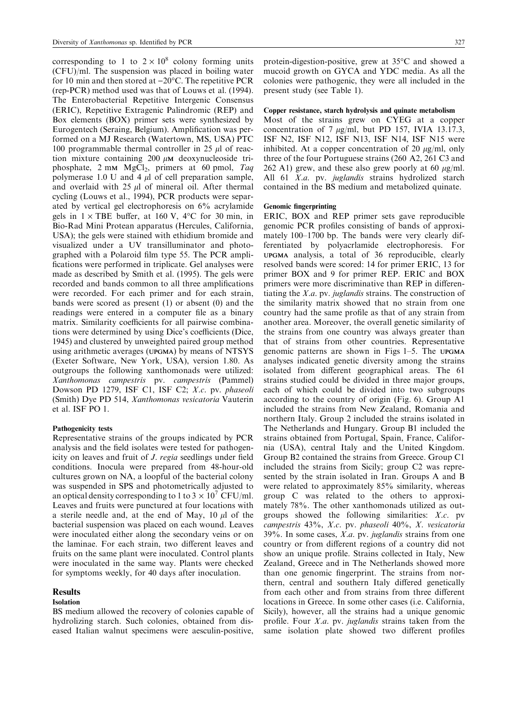corresponding to 1 to  $2 \times 10^8$  colony forming units (CFU)/ml. The suspension was placed in boiling water for 10 min and then stored at  $-20^{\circ}$ C. The repetitive PCR (rep-PCR) method used was that of Louws et al. (1994). The Enterobacterial Repetitive Intergenic Consensus (ERIC), Repetitive Extragenic Palindromic (REP) and Box elements (BOX) primer sets were synthesized by Eurogentech (Seraing, Belgium). Amplification was performed on a MJ Research (Watertown, MS, USA) PTC 100 programmable thermal controller in 25  $\mu$ l of reaction mixture containing  $200 \mu \text{M}$  deoxynucleoside triphosphate,  $2 \text{ mm } MgCl<sub>2</sub>$ , primers at 60 pmol, Taq polymerase 1.0 U and 4  $\mu$ l of cell preparation sample, and overlaid with  $25 \mu l$  of mineral oil. After thermal cycling (Louws et al., 1994), PCR products were separated by vertical gel electrophoresis on 6% acrylamide gels in  $1 \times$  TBE buffer, at 160 V, 4°C for 30 min, in Bio-Rad Mini Protean apparatus (Hercules, California, USA); the gels were stained with ethidium bromide and visualized under a UV transilluminator and photographed with a Polaroid film type 55. The PCR amplifications were performed in triplicate. Gel analyses were made as described by Smith et al. (1995). The gels were recorded and bands common to all three amplifications were recorded. For each primer and for each strain, bands were scored as present (1) or absent (0) and the readings were entered in a computer file as a binary matrix. Similarity coefficients for all pairwise combinations were determined by using Dice's coefficients (Dice, 1945) and clustered by unweighted paired group method using arithmetic averages (UPGMA) by means of NTSYS (Exeter Software, New York, USA), version 1.80. As outgroups the following xanthomonads were utilized: Xanthomonas campestris pv. campestris (Pammel) Dowson PD 1279, ISF C1, ISF C2; X.c. pv. phaseoli (Smith) Dye PD 514, Xanthomonas vesicatoria Vauterin et al. ISF PO 1.

#### Pathogenicity tests

Representative strains of the groups indicated by PCR analysis and the field isolates were tested for pathogenicity on leaves and fruit of *J. regia* seedlings under field conditions. Inocula were prepared from 48-hour-old cultures grown on NA, a loopful of the bacterial colony was suspended in SPS and photometrically adjusted to an optical density corresponding to 1 to  $3 \times 10^{7}$  CFU/ml. Leaves and fruits were punctured at four locations with a sterile needle and, at the end of May,  $10 \mu l$  of the bacterial suspension was placed on each wound. Leaves were inoculated either along the secondary veins or on the laminae. For each strain, two different leaves and fruits on the same plant were inoculated. Control plants were inoculated in the same way. Plants were checked for symptoms weekly, for 40 days after inoculation.

# Results

## Isolation

BS medium allowed the recovery of colonies capable of hydrolizing starch. Such colonies, obtained from diseased Italian walnut specimens were aesculin-positive, protein-digestion-positive, grew at 35°C and showed a mucoid growth on GYCA and YDC media. As all the colonies were pathogenic, they were all included in the present study (see Table 1).

# Copper resistance, starch hydrolysis and quinate metabolism

Most of the strains grew on CYEG at a copper concentration of 7  $\mu$ g/ml, but PD 157, IVIA 13.17.3, ISF N2, ISF N12, ISF N13, ISF N14, ISF N15 were inhibited. At a copper concentration of 20  $\mu$ g/ml, only three of the four Portuguese strains (260 A2, 261 C3 and 262 A1) grew, and these also grew poorly at 60  $\mu$ g/ml. All 61 X.a. pv. juglandis strains hydrolized starch contained in the BS medium and metabolized quinate.

## Genomic fingerprinting

ERIC, BOX and REP primer sets gave reproducible genomic PCR profiles consisting of bands of approximately 100-1700 bp. The bands were very clearly differentiated by polyacrlamide electrophoresis. For UPGMA analysis, a total of 36 reproducible, clearly resolved bands were scored: 14 for primer ERIC, 13 for primer BOX and 9 for primer REP. ERIC and BOX primers were more discriminative than REP in differentiating the X.a. pv. juglandis strains. The construction of the similarity matrix showed that no strain from one country had the same profile as that of any strain from another area. Moreover, the overall genetic similarity of the strains from one country was always greater than that of strains from other countries. Representative genomic patterns are shown in Figs  $1-5$ . The UPGMA analyses indicated genetic diversity among the strains isolated from different geographical areas. The 61 strains studied could be divided in three major groups, each of which could be divided into two subgroups according to the country of origin (Fig. 6). Group A1 included the strains from New Zealand, Romania and northern Italy. Group 2 included the strains isolated in The Netherlands and Hungary. Group B1 included the strains obtained from Portugal, Spain, France, California (USA), central Italy and the United Kingdom. Group B2 contained the strains from Greece. Group C1 included the strains from Sicily; group C2 was represented by the strain isolated in Iran. Groups A and B were related to approximately 85% similarity, whereas group C was related to the others to approximately 78%. The other xanthomonads utilized as outgroups showed the following similarities: X.c. pv campestris 43%, X.c. pv. phaseoli 40%, X. vesicatoria  $39\%$ . In some cases, *X.a.* pv. *juglandis* strains from one country or from different regions of a country did not show an unique profile. Strains collected in Italy, New Zealand, Greece and in The Netherlands showed more than one genomic fingerprint. The strains from northern, central and southern Italy differed genetically from each other and from strains from three different locations in Greece. In some other cases (i.e. California, Sicily), however, all the strains had a unique genomic profile. Four  $X.a.$  pv. juglandis strains taken from the same isolation plate showed two different profiles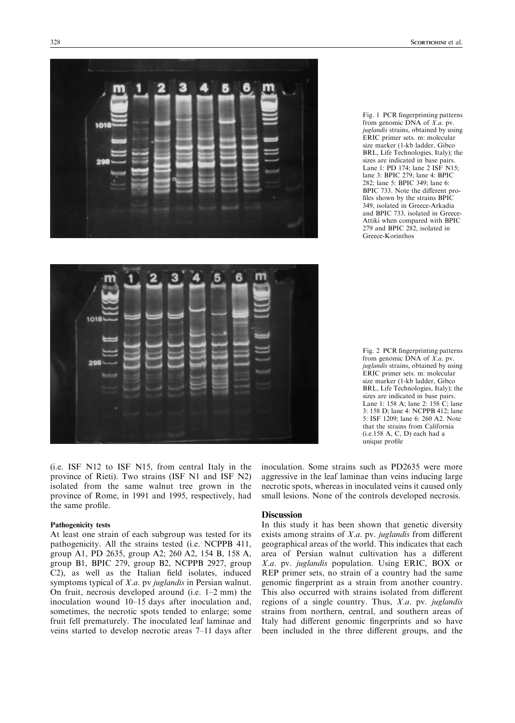

Fig. 1 PCR fingerprinting patterns from genomic  $\overrightarrow{DNA}$  of  $\overrightarrow{X.a}$ . pv. juglandis strains, obtained by using ERIC primer sets. m: molecular size marker (1-kb ladder, Gibco BRL, Life Technologies, Italy); the sizes are indicated in base pairs. Lane 1: PD 174; lane 2 ISF N15; lane 3: BPIC 279; lane 4: BPIC 282; lane 5: BPIC 349; lane 6: BPIC 733. Note the different profiles shown by the strains BPIC 349, isolated in Greece-Arkadia and BPIC 733, isolated in Greece-Attiki when compared with BPIC 279 and BPIC 282, isolated in Greece-Korinthos



(i.e. ISF N12 to ISF N15, from central Italy in the province of Rieti). Two strains (ISF N1 and ISF N2) isolated from the same walnut tree grown in the province of Rome, in 1991 and 1995, respectively, had the same profile.

#### Pathogenicity tests

At least one strain of each subgroup was tested for its pathogenicity. All the strains tested (i.e. NCPPB 411, group A1, PD 2635, group A2; 260 A2, 154 B, 158 A, group B1, BPIC 279, group B2, NCPPB 2927, group C2), as well as the Italian field isolates, induced symptoms typical of *X.a.* pv *juglandis* in Persian walnut. On fruit, necrosis developed around (i.e.  $1-2$  mm) the inoculation wound 10–15 days after inoculation and, sometimes, the necrotic spots tended to enlarge; some fruit fell prematurely. The inoculated leaf laminae and veins started to develop necrotic areas 7–11 days after Fig. 2 PCR fingerprinting patterns from genomic DNA of X.a. pv. juglandis strains, obtained by using ERIC primer sets. m: molecular size marker (1-kb ladder, Gibco BRL, Life Technologies, Italy); the sizes are indicated in base pairs. Lane 1: 158 A; lane 2: 158 C; lane 3: 158 D; lane 4: NCPPB 412; lane 5: ISF 1209; lane 6: 260 A2. Note that the strains from California (i.e.158 A, C, D) each had a unique profile

inoculation. Some strains such as PD2635 were more aggressive in the leaf laminae than veins inducing large necrotic spots, whereas in inoculated veins it caused only small lesions. None of the controls developed necrosis.

## **Discussion**

In this study it has been shown that genetic diversity exists among strains of  $X.a.$  pv. juglandis from different geographical areas of the world. This indicates that each area of Persian walnut cultivation has a different X.a. pv. juglandis population. Using ERIC, BOX or REP primer sets, no strain of a country had the same genomic fingerprint as a strain from another country. This also occurred with strains isolated from different regions of a single country. Thus, X.a. pv. juglandis strains from northern, central, and southern areas of Italy had different genomic fingerprints and so have been included in the three different groups, and the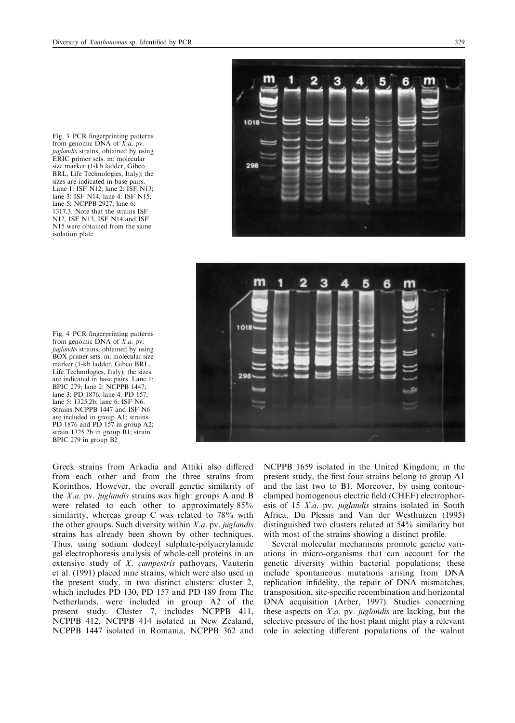Fig. 3 PCR fingerprinting patterns from genomic DNA of X.a. pv. juglandis strains, obtained by using ERIC primer sets. m: molecular size marker (1-kb ladder, Gibco BRL, Life Technologies, Italy); the sizes are indicated in base pairs. Lane 1: ISF N12; lane 2: ISF N13; lane 3: ISF N14; lane 4: ISF N15; lane 5: NCPPB 2927; lane 6: 1317.3. Note that the strains ISF N12, ISF N13, ISF N14 and ISF N15 were obtained from the same isolation plate

Fig. 4 PCR fingerprinting patterns from genomic DNA of X.a. pv. juglandis strains, obtained by using BOX primer sets. m: molecular size marker (1-kb ladder, Gibco BRL, Life Technologies, Italy); the sizes are indicated in base pairs. Lane 1: BPIC 279; lane 2: NCPPB 1447; lane 3: PD 1876; lane 4: PD 157; lane 5: 1325.2b; lane 6: ISF N6. Strains NCPPB 1447 and ISF N6 are included in group A1; strains PD 1876 and PD 157 in group A2; strain 1325.2b in group B1; strain BPIC 279 in group B2

Greek strains from Arkadia and Attiki also differed from each other and from the three strains from Korinthos. However, the overall genetic similarity of the *X.a.* pv. *juglandis* strains was high: groups A and B were related to each other to approximately 85% similarity, whereas group C was related to 78% with the other groups. Such diversity within  $X.a.$  pv. juglandis strains has already been shown by other techniques. Thus, using sodium dodecyl sulphate-polyacrylamide gel electrophoresis analysis of whole-cell proteins in an extensive study of X. campestris pathovars, Vauterin et al. (1991) placed nine strains, which were also used in the present study, in two distinct clusters: cluster 2, which includes PD 130, PD 157 and PD 189 from The Netherlands, were included in group A2 of the present study. Cluster 7, includes NCPPB 411, NCPPB 412, NCPPB 414 isolated in New Zealand, NCPPB 1447 isolated in Romania, NCPPB 362 and NCPPB 1659 isolated in the United Kingdom; in the present study, the first four strains belong to group A1 and the last two to B1. Moreover, by using contourclamped homogenous electric field (CHEF) electrophoresis of 15 X.a. pv. juglandis strains isolated in South Africa, Du Plessis and Van der Westhuizen (1995) distinguished two clusters related at 54% similarity but with most of the strains showing a distinct profile.

Several molecular mechanisms promote genetic variations in micro-organisms that can account for the genetic diversity within bacterial populations; these include spontaneous mutations arising from DNA replication infidelity, the repair of DNA mismatches, transposition, site-specific recombination and horizontal DNA acquisition (Arber, 1997). Studies concerning these aspects on X.a. pv. juglandis are lacking, but the selective pressure of the host plant might play a relevant role in selecting different populations of the walnut



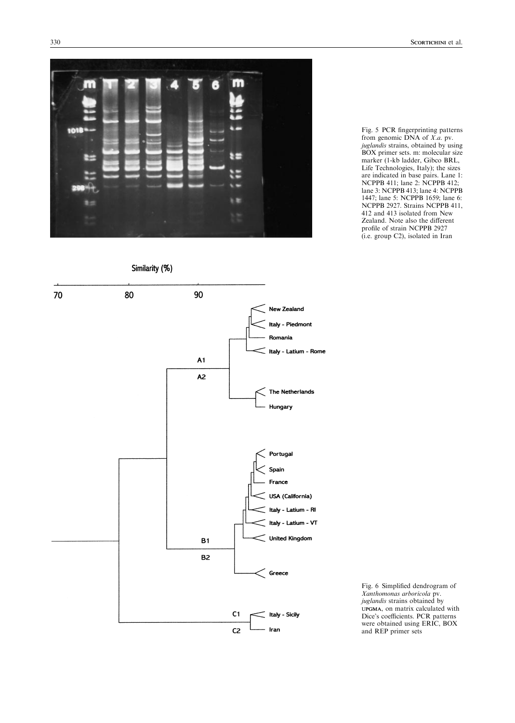

Fig. 5 PCR fingerprinting patterns from genomic DNA of X.a. pv. juglandis strains, obtained by using BOX primer sets. m: molecular size marker (1-kb ladder, Gibco BRL, Life Technologies, Italy); the sizes are indicated in base pairs. Lane 1: NCPPB 411; lane 2: NCPPB 412; lane 3: NCPPB 413; lane 4: NCPPB 1447; lane 5: NCPPB 1659; lane 6: NCPPB 2927. Strains NCPPB 411, 412 and 413 isolated from New Zealand. Note also the different profile of strain NCPPB 2927 (i.e. group C2), isolated in Iran

Similarity (%)



Fig. 6 Simplified dendrogram of Xanthomonas arboricola pv. juglandis strains obtained by UPGMA, on matrix calculated with Dice's coefficients. PCR patterns were obtained using ERIC, BOX and REP primer sets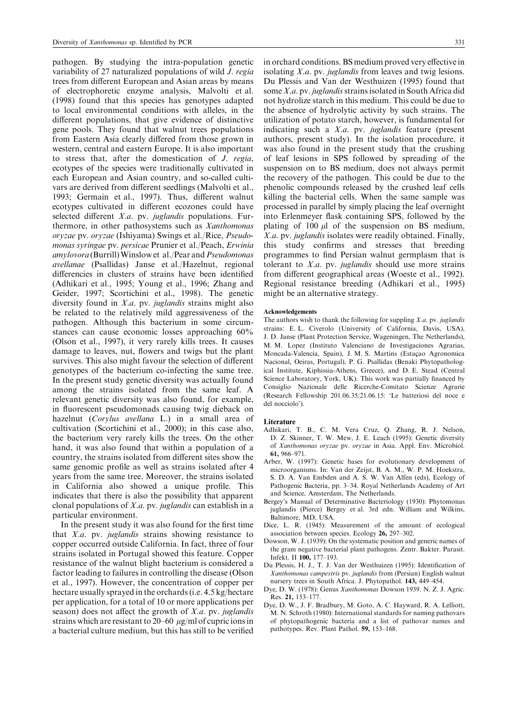pathogen. By studying the intra-population genetic variability of 27 naturalized populations of wild J. regia trees from different European and Asian areas by means of electrophoretic enzyme analysis, Malvolti et al. (1998) found that this species has genotypes adapted to local environmental conditions with alleles, in the different populations, that give evidence of distinctive gene pools. They found that walnut trees populations from Eastern Asia clearly differed from those grown in western, central and eastern Europe. It is also important to stress that, after the domestication of J. regia, ecotypes of the species were traditionally cultivated in each European and Asian country, and so-called cultivars are derived from different seedlings (Malvolti et al., 1993; Germain et al., 1997). Thus, different walnut ecotypes cultivated in different ecozones could have selected different  $X.a.$  pv. juglandis populations. Furthermore, in other pathosystems such as Xanthomonas 3oryzae pv. oryzae (Ishiyama) Swings et al./Rice, Pseudomonas syringae pv. persicae Prunier et al./Peach, Erwinia amylovora (Burrill) Winslow et al./Pear and Pseudomonas avellanae (Psallidas) Janse et al./Hazelnut, regional differencies in clusters of strains have been identified (Adhikari et al., 1995; Young et al., 1996; Zhang and Geider, 1997; Scortichini et al., 1998). The genetic diversity found in X.a. pv. juglandis strains might also be related to the relatively mild aggressiveness of the pathogen. Although this bacterium in some circumstances can cause economic losses approaching 60% (Olson et al., 1997), it very rarely kills trees. It causes damage to leaves, nut, flowers and twigs but the plant survives. This also might favour the selection of different genotypes of the bacterium co-infecting the same tree. In the present study genetic diversity was actually found among the strains isolated from the same leaf. A relevant genetic diversity was also found, for example, in fluorescent pseudomonads causing twig dieback on hazelnut (Corylus avellana L.) in a small area of cultivation (Scortichini et al., 2000); in this case also, the bacterium very rarely kills the trees. On the other hand, it was also found that within a population of a country, the strains isolated from different sites show the same genomic profile as well as strains isolated after 4 years from the same tree. Moreover, the strains isolated in California also showed a unique profile. This indicates that there is also the possibility that apparent clonal populations of X.a. pv. juglandis can establish in a particular environment.

In the present study it was also found for the first time that X.a. pv. juglandis strains showing resistance to copper occurred outside California. In fact, three of four strains isolated in Portugal showed this feature. Copper resistance of the walnut blight bacterium is considered a factor leading to failures in controlling the disease (Olson et al., 1997). However, the concentration of copper per hectare usually sprayed in the orchards (i.e. 4.5 kg/hectare per application, for a total of 10 or more applications per season) does not affect the growth of  $X.a.$  pv. juglandis strains which are resistant to 20–60  $\mu$ g/ml of cupric ions in a bacterial culture medium, but this has still to be verified in orchard conditions. BS medium proved very effective in isolating X.a. pv. juglandis from leaves and twig lesions. Du Plessis and Van der Westhuizen (1995) found that some X.a. pv. juglandis strains isolated in South Africa did not hydrolize starch in this medium. This could be due to the absence of hydrolytic activity by such strains. The utilization of potato starch, however, is fundamental for indicating such a X.a. pv. juglandis feature (present authors, present study). In the isolation procedure, it was also found in the present study that the crushing of leaf lesions in SPS followed by spreading of the suspension on to BS medium, does not always permit the recovery of the pathogen. This could be due to the phenolic compounds released by the crushed leaf cells killing the bacterial cells. When the same sample was processed in parallel by simply placing the leaf overnight into Erlenmeyer flask containing SPS, followed by the plating of 100  $\mu$ l of the suspension on BS medium, X.a. pv. juglandis isolates were readily obtained. Finally, this study confirms and stresses that breeding programmes to find Persian walnut germplasm that is tolerant to  $X.a.$  pv. *juglandis* should use more strains from different geographical areas (Woeste et al., 1992). Regional resistance breeding (Adhikari et al., 1995) might be an alternative strategy.

#### Acknowledgements

The authors wish to thank the following for suppling  $X.a.$  pv. juglandis strains: E. L. Civerolo (University of California, Davis, USA), J. D. Janse (Plant Protection Service, Wageningen, The Netherlands), M. M. Lopez (Instituto Valenciano de Investigaciones Agrarias, Moncada-Valencia, Spain), J. M. S. Martins (Estaçao Agronomica Nacional, Oeiras, Portugal), P. G. Psallidas (Benaki Phytopathological Institute, Kiphissia-Athens, Greece), and D. E. Stead (Central Science Laboratory, York, UK). This work was partially financed by Consiglio Nazionale delle Ricerche-Comitato Scienze Agrarie (Research Fellowship 201.06.35/21.06.15: `Le batteriosi del noce e del nocciolo').

#### **Literature**

- Adhikari, T. B., C. M. Vera Cruz, Q. Zhang, R. J. Nelson, D. Z. Skinner, T. W. Mew, J. E. Leach (1995): Genetic diversity of Xanthomonas oryzae pv. oryzae in Asia. Appl. Env. Microbiol. 61, 966±971.
- Arber, W. (1997): Genetic bases for evolutionary development of microorganisms. In: Van der Zeijst, B. A. M., W. P. M. Hoekstra, S. D. A. Van Embden and A. S. W. Van Alfen (eds), Ecology of Pathogenic Bacteria, pp. 3-34. Royal Netherlands Academy of Art and Science, Amsterdam, The Netherlands.
- 5Bergey's Manual of Determinative Bacteriology (1930): Phytomonas juglandis (Pierce) Bergey et al. 3rd edn. William and Wilkins, Baltimore, MD, USA.
- Dice, L. R. (1945): Measurement of the amount of ecological association between species. Ecology  $26$ ,  $297-302$ .
- Dowson, W. J. (1939): On the systematic position and generic names of the gram negative bacterial plant pathogens. Zentr. Bakter. Parasit. Infekt. II 100, 177-193.
- Du Plessis, H. J., T. J. Van der Westhuizen (1995): Identification of Xanthomonas campestris pv. juglandis from (Persian) English walnut nursery trees in South Africa. J. Phytopathol. 143, 449–454.
- Dye, D. W. (1978): Genus Xanthomonas Dowson 1939. N. Z. J. Agric. Res. 21, 153-177.
- Dye, D. W., J. F. Bradbury, M. Goto, A. C. Hayward, R. A. Lelliott, M. N. Schroth (1980): International standards for naming pathovars of phytopathogenic bacteria and a list of pathovar names and pathotypes. Rev. Plant Pathol.  $59$ , 153-168.